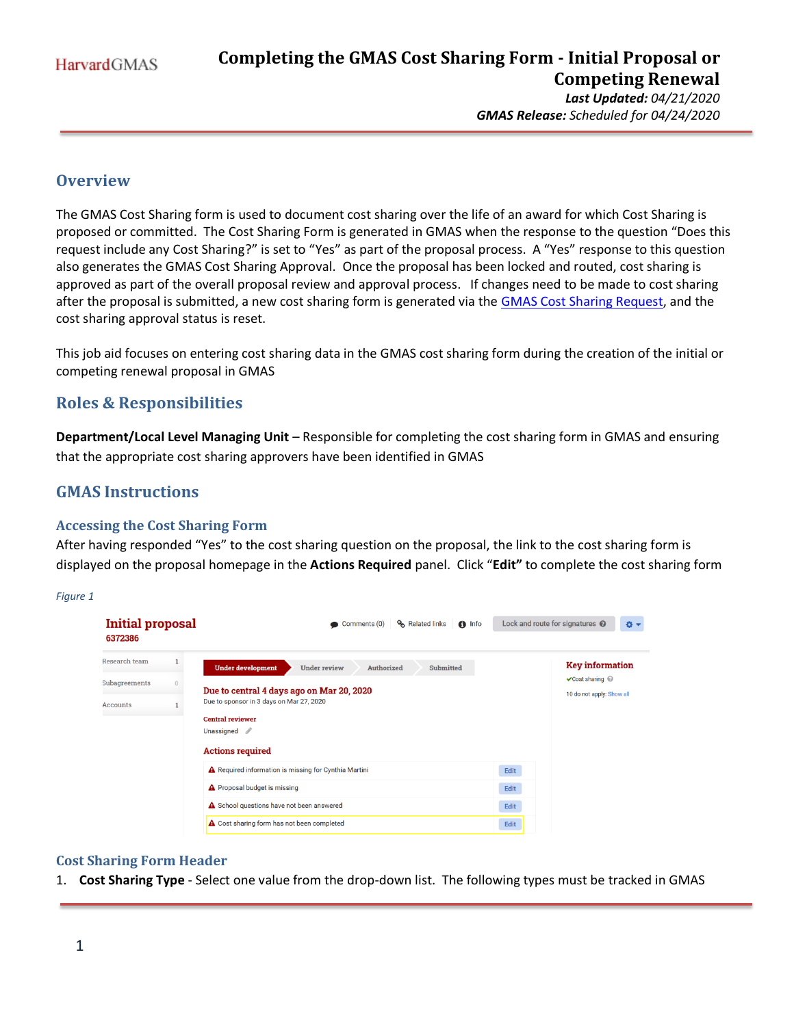*GMAS Release: Scheduled for 04/24/2020*

# **Overview**

The GMAS Cost Sharing form is used to document cost sharing over the life of an award for which Cost Sharing is proposed or committed. The Cost Sharing Form is generated in GMAS when the response to the question "Does this request include any Cost Sharing?" is set to "Yes" as part of the proposal process. A "Yes" response to this question also generates the GMAS Cost Sharing Approval. Once the proposal has been locked and routed, cost sharing is approved as part of the overall proposal review and approval process. If changes need to be made to cost sharing after the proposal is submitted, a new cost sharing form is generated via the [GMAS Cost Sharing Request,](https://gmas.fss.harvard.edu/completing-cost-sharing-request) and the cost sharing approval status is reset.

This job aid focuses on entering cost sharing data in the GMAS cost sharing form during the creation of the initial or competing renewal proposal in GMAS

# **Roles & Responsibilities**

**Department/Local Level Managing Unit** – Responsible for completing the cost sharing form in GMAS and ensuring that the appropriate cost sharing approvers have been identified in GMAS

# **GMAS Instructions**

### **Accessing the Cost Sharing Form**

After having responded "Yes" to the cost sharing question on the proposal, the link to the cost sharing form is displayed on the proposal homepage in the **Actions Required** panel. Click "**Edit"** to complete the cost sharing form

*Figure 1*

| <b>Initial proposal</b><br>6372386 | <b>%</b> Related links<br>Comments (0)<br>$\bigoplus$ Info                                                                                                                              |                                     | Lock and route for signatures @<br>¢.                        |
|------------------------------------|-----------------------------------------------------------------------------------------------------------------------------------------------------------------------------------------|-------------------------------------|--------------------------------------------------------------|
| Research team<br>Subagreements     | <b>Under development</b><br><b>Under review</b><br>Authorized<br>Submitted                                                                                                              |                                     | <b>Key information</b><br>$\vee$ Cost sharing $\circledcirc$ |
| <b>Accounts</b>                    | Due to central 4 days ago on Mar 20, 2020<br>Due to sponsor in 3 days on Mar 27, 2020<br><b>Central reviewer</b><br>Unassigned 2<br><b>Actions required</b>                             | 10 do not apply: Show all           |                                                              |
|                                    | ▲ Required information is missing for Cynthia Martini<br><b>A</b> Proposal budget is missing<br>A School questions have not been answered<br>A Cost sharing form has not been completed | Edit<br>Edit<br>Edit<br><b>Edit</b> |                                                              |

### **Cost Sharing Form Header**

1. **Cost Sharing Type** - Select one value from the drop-down list. The following types must be tracked in GMAS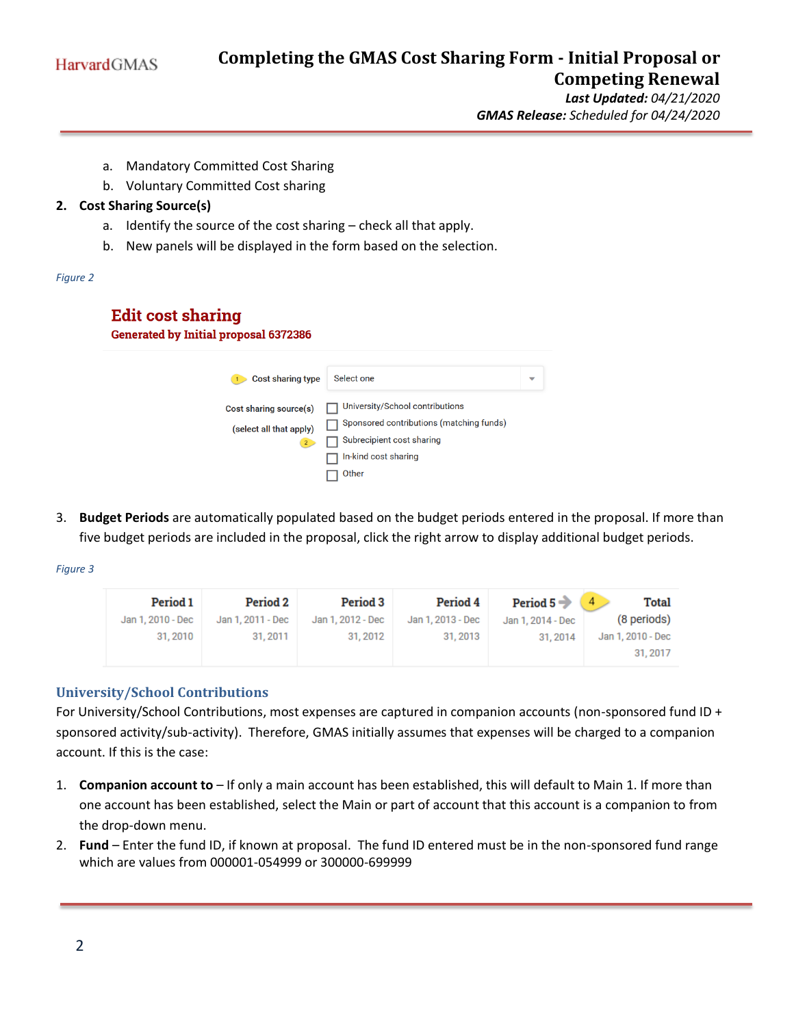

*Last Updated: 04/21/2020 GMAS Release: Scheduled for 04/24/2020*

- a. Mandatory Committed Cost Sharing
- b. Voluntary Committed Cost sharing

### **2. Cost Sharing Source(s)**

- a. Identify the source of the cost sharing check all that apply.
- b. New panels will be displayed in the form based on the selection.

#### *Figure 2*

# **Edit cost sharing**

**Generated by Initial proposal 6372386** 

| <b>Cost sharing type</b> | Select one                               | ▽ |
|--------------------------|------------------------------------------|---|
| Cost sharing source(s)   | University/School contributions          |   |
| (select all that apply)  | Sponsored contributions (matching funds) |   |
| 2 <sup>7</sup>           | Subrecipient cost sharing                |   |
|                          | In-kind cost sharing                     |   |
|                          | Other                                    |   |

3. **Budget Periods** are automatically populated based on the budget periods entered in the proposal. If more than five budget periods are included in the proposal, click the right arrow to display additional budget periods.

*Figure 3*

| <b>Period 1</b>   | <b>Period 2</b>   | <b>Period 3</b>   | <b>Period 4</b>   | Period 5 $\rightarrow$ 4 | Total             |
|-------------------|-------------------|-------------------|-------------------|--------------------------|-------------------|
| Jan 1, 2010 - Dec | Jan 1, 2011 - Dec | Jan 1, 2012 - Dec | Jan 1, 2013 - Dec | Jan 1, 2014 - Dec        | (8 periods)       |
| 31, 2010          | 31, 2011          | 31, 2012          | 31, 2013          | 31.2014                  | Jan 1, 2010 - Dec |
|                   |                   |                   |                   |                          | 31, 2017          |

# **University/School Contributions**

For University/School Contributions, most expenses are captured in companion accounts (non-sponsored fund ID + sponsored activity/sub-activity). Therefore, GMAS initially assumes that expenses will be charged to a companion account. If this is the case:

- 1. **Companion account to** If only a main account has been established, this will default to Main 1. If more than one account has been established, select the Main or part of account that this account is a companion to from the drop-down menu.
- 2. **Fund**  Enter the fund ID, if known at proposal. The fund ID entered must be in the non-sponsored fund range which are values from 000001-054999 or 300000-699999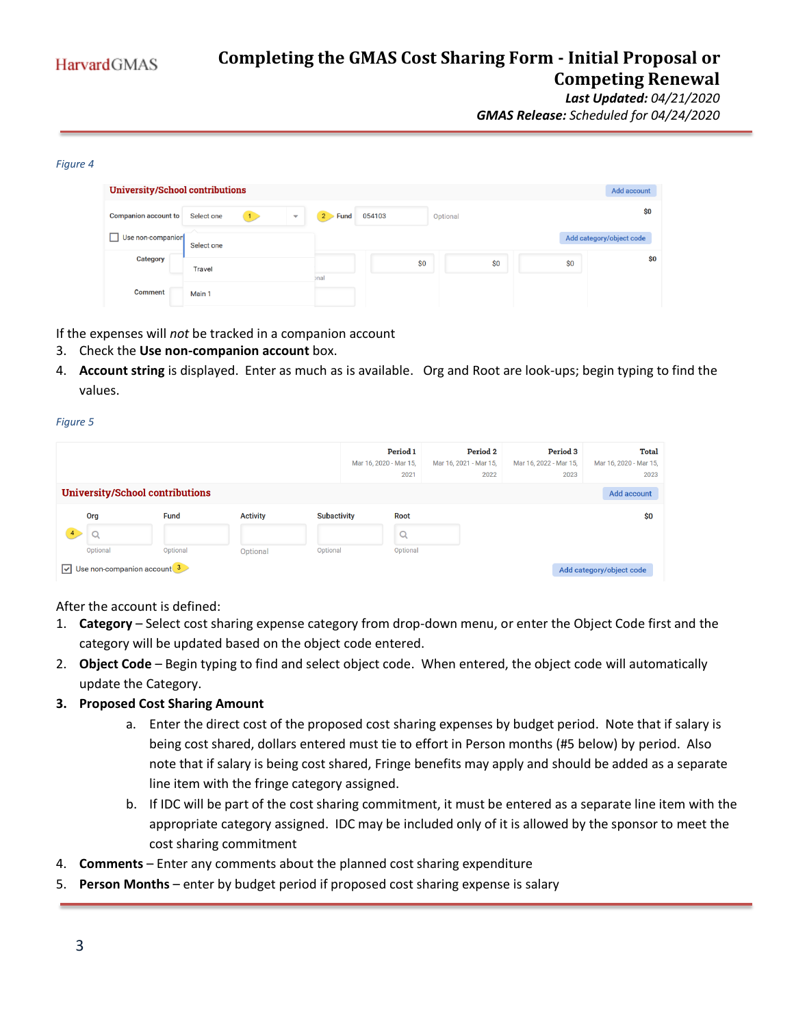*GMAS Release: Scheduled for 04/24/2020*

#### *Figure 4*

| <b>University/School contributions</b> |            |                          |                  |        |          |     |     | Add account              |
|----------------------------------------|------------|--------------------------|------------------|--------|----------|-----|-----|--------------------------|
| <b>Companion account to</b>            | Select one | $\overline{\phantom{a}}$ | Fund<br>$2 \geq$ | 054103 | Optional |     |     | \$0                      |
| Use non-companior                      | Select one |                          |                  |        |          |     |     | Add category/object code |
| Category                               | Travel     |                          | bnal             | \$0    |          | \$0 | \$0 | \$0                      |
| <b>Comment</b>                         | Main 1     |                          |                  |        |          |     |     |                          |

If the expenses will *not* be tracked in a companion account

- 3. Check the **Use non-companion account** box.
- 4. **Account string** is displayed. Enter as much as is available. Org and Root are look-ups; begin typing to find the values.

#### *Figure 5*

|                         |          |                                         |                 |                    | Period 1<br>Mar 16, 2020 - Mar 15,<br>2021 | <b>Period 2</b><br>Mar 16, 2021 - Mar 15,<br>2022 | <b>Period 3</b><br>Mar 16, 2022 - Mar 15,<br>2023 | <b>Total</b><br>Mar 16, 2020 - Mar 15,<br>2023 |
|-------------------------|----------|-----------------------------------------|-----------------|--------------------|--------------------------------------------|---------------------------------------------------|---------------------------------------------------|------------------------------------------------|
|                         |          | <b>University/School contributions</b>  |                 |                    |                                            |                                                   |                                                   | Add account                                    |
|                         | Org      | Fund                                    | <b>Activity</b> | <b>Subactivity</b> | Root                                       |                                                   |                                                   | \$0                                            |
|                         |          |                                         |                 |                    | Q                                          |                                                   |                                                   |                                                |
|                         | Optional | Optional                                | Optional        | Optional           | Optional                                   |                                                   |                                                   |                                                |
| $\overline{\mathbf{v}}$ |          | Use non-companion account $\frac{3}{2}$ |                 |                    |                                            |                                                   |                                                   | Add category/object code                       |

After the account is defined:

- 1. **Category** Select cost sharing expense category from drop-down menu, or enter the Object Code first and the category will be updated based on the object code entered.
- 2. **Object Code** Begin typing to find and select object code. When entered, the object code will automatically update the Category.

#### **3. Proposed Cost Sharing Amount**

- a. Enter the direct cost of the proposed cost sharing expenses by budget period. Note that if salary is being cost shared, dollars entered must tie to effort in Person months (#5 below) by period. Also note that if salary is being cost shared, Fringe benefits may apply and should be added as a separate line item with the fringe category assigned.
- b. If IDC will be part of the cost sharing commitment, it must be entered as a separate line item with the appropriate category assigned. IDC may be included only of it is allowed by the sponsor to meet the cost sharing commitment
- 4. **Comments** Enter any comments about the planned cost sharing expenditure
- 5. **Person Months** enter by budget period if proposed cost sharing expense is salary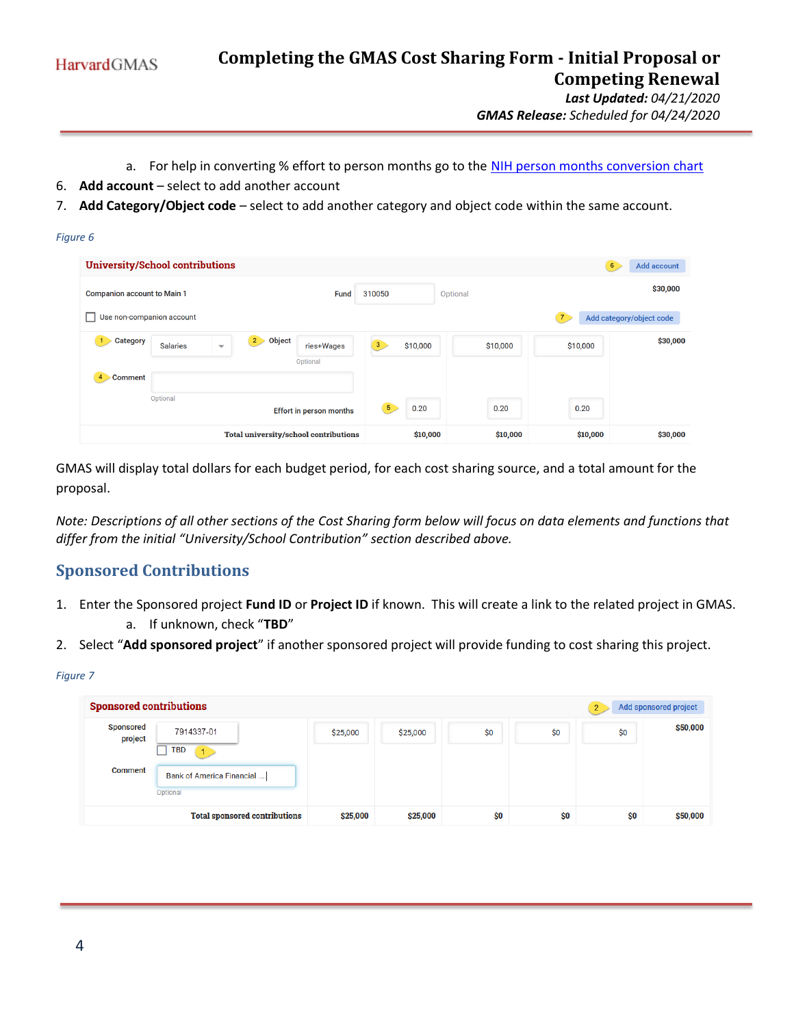*GMAS Release: Scheduled for 04/24/2020*

- a. For help in converting % effort to person months go to the [NIH person months conversion chart](https://grants.nih.gov/grants/policy/person_months_conversion_chart.xls)
- 6. **Add account** select to add another account
- 7. **Add Category/Object code** select to add another category and object code within the same account.

#### *Figure 6*

| <b>University/School contributions</b>      |                 |                                             |                                       |                        |          |                | 6<br>Add account         |
|---------------------------------------------|-----------------|---------------------------------------------|---------------------------------------|------------------------|----------|----------------|--------------------------|
| <b>Companion account to Main 1</b>          |                 |                                             | <b>Fund</b>                           | 310050                 | Optional |                | \$30,000                 |
| Use non-companion account<br>$\blacksquare$ |                 |                                             |                                       |                        |          | $\overline{7}$ | Add category/object code |
| Category<br>$\overline{1}$                  | <b>Salaries</b> | $2 \rightarrow$<br>$\overline{\phantom{0}}$ | Object<br>ries+Wages                  | 3<br>\$10,000          | \$10,000 | \$10,000       | \$30,000                 |
| $\overline{4}$<br><b>Comment</b>            |                 |                                             | Optional                              |                        |          |                |                          |
|                                             | Optional        |                                             |                                       |                        |          |                |                          |
|                                             |                 |                                             | <b>Effort in person months</b>        | 5 <sub>1</sub><br>0.20 | 0.20     | 0.20           |                          |
|                                             |                 |                                             | Total university/school contributions | \$10,000               | \$10,000 | \$10,000       | \$30,000                 |

GMAS will display total dollars for each budget period, for each cost sharing source, and a total amount for the proposal.

*Note: Descriptions of all other sections of the Cost Sharing form below will focus on data elements and functions that differ from the initial "University/School Contribution" section described above.*

# **Sponsored Contributions**

- 1. Enter the Sponsored project **Fund ID** or **Project ID** if known. This will create a link to the related project in GMAS. a. If unknown, check "**TBD**"
- 2. Select "**Add sponsored project**" if another sponsored project will provide funding to cost sharing this project.

#### *Figure 7*

| <b>Sponsored contributions</b> |                                       |          |          |     |     | $\overline{2}$ | Add sponsored project |
|--------------------------------|---------------------------------------|----------|----------|-----|-----|----------------|-----------------------|
| <b>Sponsored</b><br>project    | 7914337-01<br><b>TBD</b>              | \$25,000 | \$25,000 | \$0 | \$0 | \$0            | \$50,000              |
| <b>Comment</b>                 | Bank of America Financial<br>Optional |          |          |     |     |                |                       |
|                                | <b>Total sponsored contributions</b>  | \$25,000 | \$25,000 | \$0 | \$0 | \$0            | \$50,000              |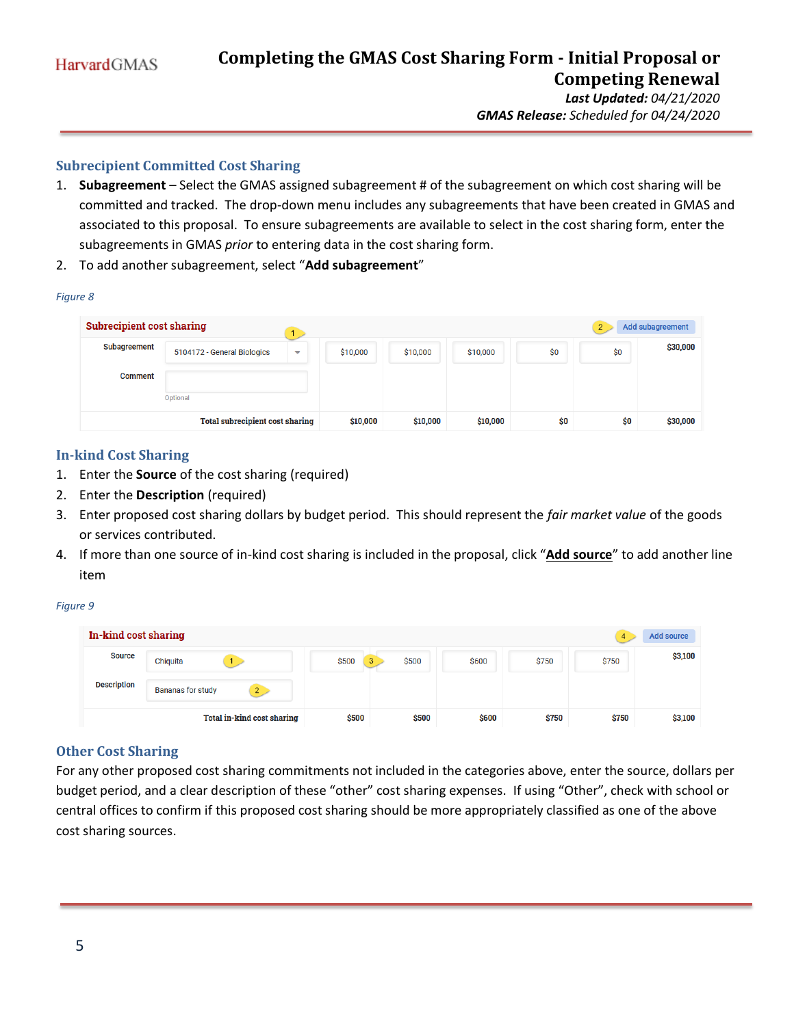*GMAS Release: Scheduled for 04/24/2020*

# **Subrecipient Committed Cost Sharing**

- 1. **Subagreement** Select the GMAS assigned subagreement # of the subagreement on which cost sharing will be committed and tracked. The drop-down menu includes any subagreements that have been created in GMAS and associated to this proposal. To ensure subagreements are available to select in the cost sharing form, enter the subagreements in GMAS *prior* to entering data in the cost sharing form.
- 2. To add another subagreement, select "**Add subagreement**"

|--|--|

|                | <b>Subrecipient cost sharing</b><br>Add subagreement<br>$\overline{2}$ |   |          |          |          |     |     |          |
|----------------|------------------------------------------------------------------------|---|----------|----------|----------|-----|-----|----------|
| Subagreement   | 5104172 - General Biologics                                            | ▼ | \$10,000 | \$10,000 | \$10,000 | \$0 | \$0 | \$30,000 |
| <b>Comment</b> |                                                                        |   |          |          |          |     |     |          |
|                | Optional                                                               |   |          |          |          |     |     |          |
|                | <b>Total subrecipient cost sharing</b>                                 |   | \$10,000 | \$10,000 | \$10,000 | \$0 | \$0 | \$30,000 |

### **In-kind Cost Sharing**

- 1. Enter the **Source** of the cost sharing (required)
- 2. Enter the **Description** (required)
- 3. Enter proposed cost sharing dollars by budget period. This should represent the *fair market value* of the goods or services contributed.
- 4. If more than one source of in-kind cost sharing is included in the proposal, click "**Add source**" to add another line item

*Figure 9*

| In-kind cost sharing |                            |       |            |       |       |       | Add source |
|----------------------|----------------------------|-------|------------|-------|-------|-------|------------|
| <b>Source</b>        | Chiquita                   | \$500 | \$500<br>3 | \$600 | \$750 | \$750 | \$3,100    |
| <b>Description</b>   | <b>Bananas for study</b>   |       |            |       |       |       |            |
|                      | Total in-kind cost sharing | \$500 | \$500      | \$600 | \$750 | \$750 | \$3,100    |

# **Other Cost Sharing**

For any other proposed cost sharing commitments not included in the categories above, enter the source, dollars per budget period, and a clear description of these "other" cost sharing expenses. If using "Other", check with school or central offices to confirm if this proposed cost sharing should be more appropriately classified as one of the above cost sharing sources.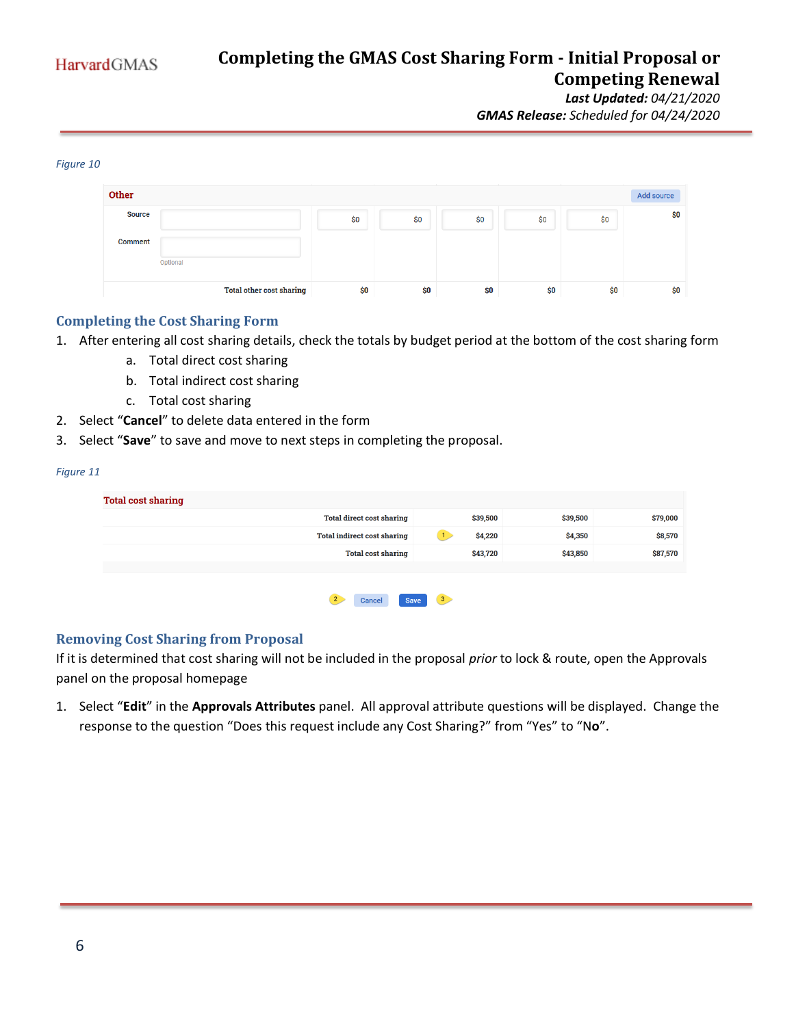*Last Updated: 04/21/2020 GMAS Release: Scheduled for 04/24/2020*

#### *Figure 10*

| Other          |                                 |     |     |     |     |     | <b>Add source</b> |
|----------------|---------------------------------|-----|-----|-----|-----|-----|-------------------|
| <b>Source</b>  |                                 | \$0 | \$0 | \$0 | \$0 | \$0 | \$0               |
| <b>Comment</b> |                                 |     |     |     |     |     |                   |
|                | Optional                        |     |     |     |     |     |                   |
|                | <b>Total other cost sharing</b> | \$0 | \$0 | \$0 | \$0 | \$0 | \$0               |

### **Completing the Cost Sharing Form**

- 1. After entering all cost sharing details, check the totals by budget period at the bottom of the cost sharing form
	- a. Total direct cost sharing
	- b. Total indirect cost sharing
	- c. Total cost sharing
- 2. Select "**Cancel**" to delete data entered in the form
- 3. Select "**Save**" to save and move to next steps in completing the proposal.

#### *Figure 11*

| <b>Total cost sharing</b>             |                |          |          |
|---------------------------------------|----------------|----------|----------|
| <b>Total direct cost sharing</b>      | \$39,500       | \$39,500 | \$79,000 |
| <b>Total indirect cost sharing</b>    | \$4,220<br>Т.  | \$4,350  | \$8,570  |
| <b>Total cost sharing</b>             | \$43,720       | \$43,850 | \$87,570 |
|                                       |                |          |          |
| $\mathbf{2}$<br><b>Save</b><br>Cancel | 3 <sub>z</sub> |          |          |

### **Removing Cost Sharing from Proposal**

If it is determined that cost sharing will not be included in the proposal *prior* to lock & route, open the Approvals panel on the proposal homepage

1. Select "**Edit**" in the **Approvals Attributes** panel. All approval attribute questions will be displayed. Change the response to the question "Does this request include any Cost Sharing?" from "Yes" to "N**o**".